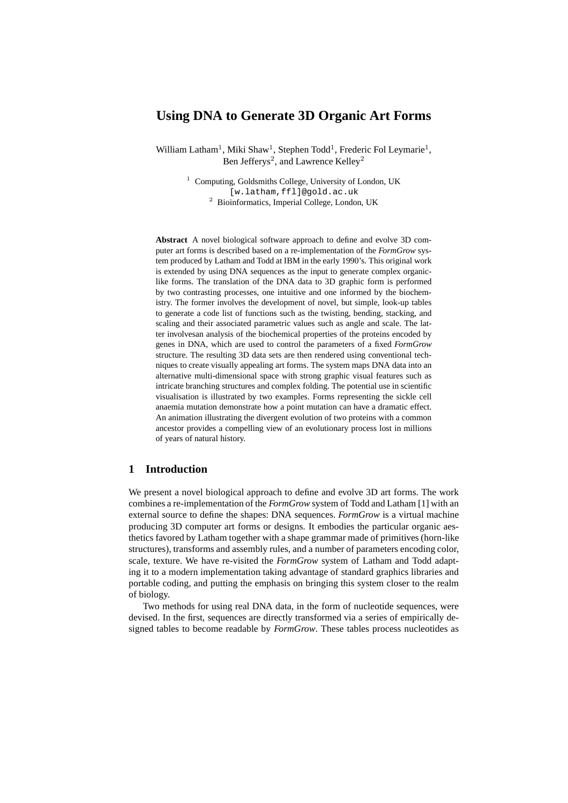# **Using DNA to Generate 3D Organic Art Forms**

William Latham<sup>1</sup>, Miki Shaw<sup>1</sup>, Stephen Todd<sup>1</sup>, Frederic Fol Leymarie<sup>1</sup>, Ben Jefferys<sup>2</sup>, and Lawrence Kelley<sup>2</sup>

> <sup>1</sup> Computing, Goldsmiths College, University of London, UK [w.latham,ffl]@gold.ac.uk <sup>2</sup> Bioinformatics, Imperial College, London, UK

**Abstract** A novel biological software approach to define and evolve 3D computer art forms is described based on a re-implementation of the *FormGrow* system produced by Latham and Todd at IBM in the early 1990's. This original work is extended by using DNA sequences as the input to generate complex organiclike forms. The translation of the DNA data to 3D graphic form is performed by two contrasting processes, one intuitive and one informed by the biochemistry. The former involves the development of novel, but simple, look-up tables to generate a code list of functions such as the twisting, bending, stacking, and scaling and their associated parametric values such as angle and scale. The latter involvesan analysis of the biochemical properties of the proteins encoded by genes in DNA, which are used to control the parameters of a fixed *FormGrow* structure. The resulting 3D data sets are then rendered using conventional techniques to create visually appealing art forms. The system maps DNA data into an alternative multi-dimensional space with strong graphic visual features such as intricate branching structures and complex folding. The potential use in scientific visualisation is illustrated by two examples. Forms representing the sickle cell anaemia mutation demonstrate how a point mutation can have a dramatic effect. An animation illustrating the divergent evolution of two proteins with a common ancestor provides a compelling view of an evolutionary process lost in millions of years of natural history.

# **1 Introduction**

We present a novel biological approach to define and evolve 3D art forms. The work combines a re-implementation of the *FormGrow* system of Todd and Latham [1] with an external source to define the shapes: DNA sequences. *FormGrow* is a virtual machine producing 3D computer art forms or designs. It embodies the particular organic aesthetics favored by Latham together with a shape grammar made of primitives (horn-like structures), transforms and assembly rules, and a number of parameters encoding color, scale, texture. We have re-visited the *FormGrow* system of Latham and Todd adapting it to a modern implementation taking advantage of standard graphics libraries and portable coding, and putting the emphasis on bringing this system closer to the realm of biology.

Two methods for using real DNA data, in the form of nucleotide sequences, were devised. In the first, sequences are directly transformed via a series of empirically designed tables to become readable by *FormGrow*. These tables process nucleotides as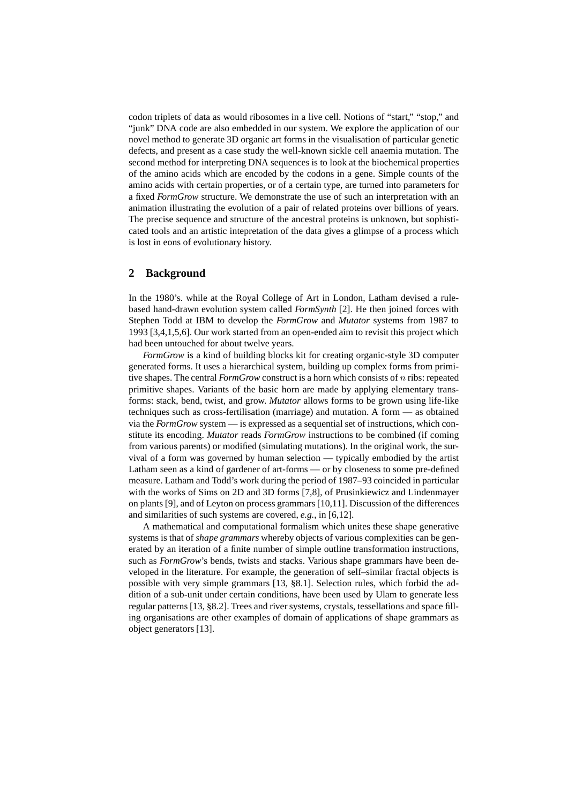codon triplets of data as would ribosomes in a live cell. Notions of "start," "stop," and "junk" DNA code are also embedded in our system. We explore the application of our novel method to generate 3D organic art forms in the visualisation of particular genetic defects, and present as a case study the well-known sickle cell anaemia mutation. The second method for interpreting DNA sequences is to look at the biochemical properties of the amino acids which are encoded by the codons in a gene. Simple counts of the amino acids with certain properties, or of a certain type, are turned into parameters for a fixed *FormGrow* structure. We demonstrate the use of such an interpretation with an animation illustrating the evolution of a pair of related proteins over billions of years. The precise sequence and structure of the ancestral proteins is unknown, but sophisticated tools and an artistic intepretation of the data gives a glimpse of a process which is lost in eons of evolutionary history.

## **2 Background**

In the 1980's. while at the Royal College of Art in London, Latham devised a rulebased hand-drawn evolution system called *FormSynth* [2]. He then joined forces with Stephen Todd at IBM to develop the *FormGrow* and *Mutator* systems from 1987 to 1993 [3,4,1,5,6]. Our work started from an open-ended aim to revisit this project which had been untouched for about twelve years.

*FormGrow* is a kind of building blocks kit for creating organic-style 3D computer generated forms. It uses a hierarchical system, building up complex forms from primitive shapes. The central *FormGrow* construct is a horn which consists of n ribs: repeated primitive shapes. Variants of the basic horn are made by applying elementary transforms: stack, bend, twist, and grow. *Mutator* allows forms to be grown using life-like techniques such as cross-fertilisation (marriage) and mutation. A form — as obtained via the *FormGrow* system — is expressed as a sequential set of instructions, which constitute its encoding. *Mutator* reads *FormGrow* instructions to be combined (if coming from various parents) or modified (simulating mutations). In the original work, the survival of a form was governed by human selection — typically embodied by the artist Latham seen as a kind of gardener of art-forms — or by closeness to some pre-defined measure. Latham and Todd's work during the period of 1987–93 coincided in particular with the works of Sims on 2D and 3D forms [7,8], of Prusinkiewicz and Lindenmayer on plants [9], and of Leyton on process grammars [10,11]. Discussion of the differences and similarities of such systems are covered, *e.g.*, in [6,12].

A mathematical and computational formalism which unites these shape generative systems is that of *shape grammars* whereby objects of various complexities can be generated by an iteration of a finite number of simple outline transformation instructions, such as *FormGrow*'s bends, twists and stacks. Various shape grammars have been developed in the literature. For example, the generation of self–similar fractal objects is possible with very simple grammars [13, §8.1]. Selection rules, which forbid the addition of a sub-unit under certain conditions, have been used by Ulam to generate less regular patterns [13, §8.2]. Trees and river systems, crystals, tessellations and space filling organisations are other examples of domain of applications of shape grammars as object generators [13].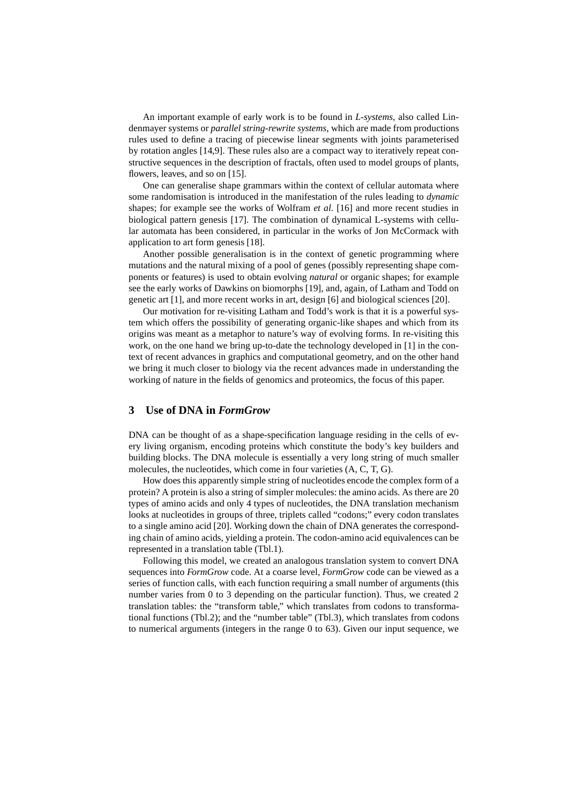An important example of early work is to be found in *L-systems*, also called Lindenmayer systems or *parallel string-rewrite systems*, which are made from productions rules used to define a tracing of piecewise linear segments with joints parameterised by rotation angles [14,9]. These rules also are a compact way to iteratively repeat constructive sequences in the description of fractals, often used to model groups of plants, flowers, leaves, and so on [15].

One can generalise shape grammars within the context of cellular automata where some randomisation is introduced in the manifestation of the rules leading to *dynamic* shapes; for example see the works of Wolfram *et al.* [16] and more recent studies in biological pattern genesis [17]. The combination of dynamical L-systems with cellular automata has been considered, in particular in the works of Jon McCormack with application to art form genesis [18].

Another possible generalisation is in the context of genetic programming where mutations and the natural mixing of a pool of genes (possibly representing shape components or features) is used to obtain evolving *natural* or organic shapes; for example see the early works of Dawkins on biomorphs [19], and, again, of Latham and Todd on genetic art [1], and more recent works in art, design [6] and biological sciences [20].

Our motivation for re-visiting Latham and Todd's work is that it is a powerful system which offers the possibility of generating organic-like shapes and which from its origins was meant as a metaphor to nature's way of evolving forms. In re-visiting this work, on the one hand we bring up-to-date the technology developed in [1] in the context of recent advances in graphics and computational geometry, and on the other hand we bring it much closer to biology via the recent advances made in understanding the working of nature in the fields of genomics and proteomics, the focus of this paper.

### **3 Use of DNA in** *FormGrow*

DNA can be thought of as a shape-specification language residing in the cells of every living organism, encoding proteins which constitute the body's key builders and building blocks. The DNA molecule is essentially a very long string of much smaller molecules, the nucleotides, which come in four varieties (A, C, T, G).

How does this apparently simple string of nucleotides encode the complex form of a protein? A protein is also a string of simpler molecules: the amino acids. As there are 20 types of amino acids and only 4 types of nucleotides, the DNA translation mechanism looks at nucleotides in groups of three, triplets called "codons;" every codon translates to a single amino acid [20]. Working down the chain of DNA generates the corresponding chain of amino acids, yielding a protein. The codon-amino acid equivalences can be represented in a translation table (Tbl.1).

Following this model, we created an analogous translation system to convert DNA sequences into *FormGrow* code. At a coarse level, *FormGrow* code can be viewed as a series of function calls, with each function requiring a small number of arguments (this number varies from 0 to 3 depending on the particular function). Thus, we created 2 translation tables: the "transform table," which translates from codons to transformational functions (Tbl.2); and the "number table" (Tbl.3), which translates from codons to numerical arguments (integers in the range 0 to 63). Given our input sequence, we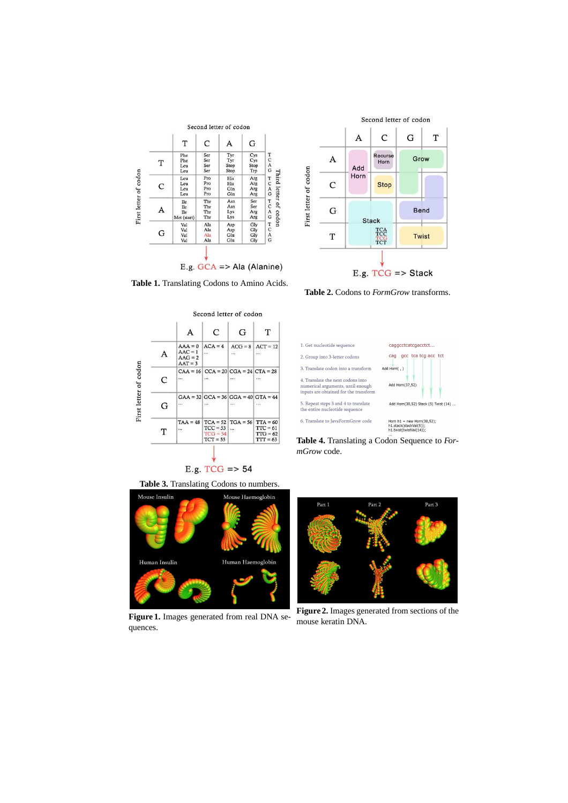

Add First letter of codon Horn  $\mathsf{C}$ Stop G **Bend** Stack TCA  $\mathbf T$ Twist TCG E.g.  $TCG \Rightarrow$  Stack

A

A

**Table 1.** Translating Codons to Amino Acids.



E.g.  $TCG \Rightarrow 54$ 

**Table 3.** Translating Codons to numbers.



**Figure 1.** Images generated from real DNA sequences.

**Table 2.** Codons to *FormGrow* transforms.

Second letter of codon

G

Grow

 $\overline{C}$ 

Recurse<br>Horn

 $\bar{T}$ 



**Table 4.** Translating a Codon Sequence to *FormGrow* code.



**Figure 2.** Images generated from sections of the mouse keratin DNA.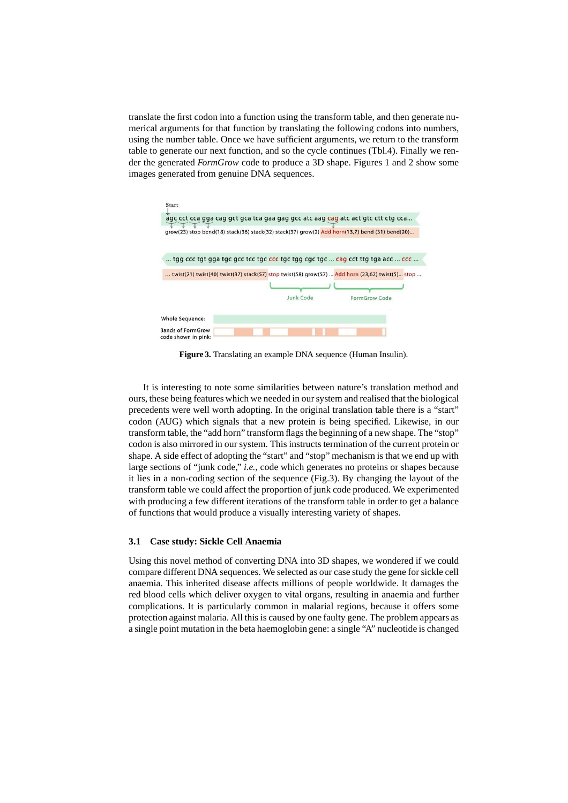translate the first codon into a function using the transform table, and then generate numerical arguments for that function by translating the following codons into numbers, using the number table. Once we have sufficient arguments, we return to the transform table to generate our next function, and so the cycle continues (Tbl.4). Finally we render the generated *FormGrow* code to produce a 3D shape. Figures 1 and 2 show some images generated from genuine DNA sequences.



**Figure 3.** Translating an example DNA sequence (Human Insulin).

It is interesting to note some similarities between nature's translation method and ours, these being features which we needed in our system and realised that the biological precedents were well worth adopting. In the original translation table there is a "start" codon (AUG) which signals that a new protein is being specified. Likewise, in our transform table, the "add horn" transform flags the beginning of a new shape. The "stop" codon is also mirrored in our system. This instructs termination of the current protein or shape. A side effect of adopting the "start" and "stop" mechanism is that we end up with large sections of "junk code," *i.e.*, code which generates no proteins or shapes because it lies in a non-coding section of the sequence (Fig.3). By changing the layout of the transform table we could affect the proportion of junk code produced. We experimented with producing a few different iterations of the transform table in order to get a balance of functions that would produce a visually interesting variety of shapes.

#### **3.1 Case study: Sickle Cell Anaemia**

Using this novel method of converting DNA into 3D shapes, we wondered if we could compare different DNA sequences. We selected as our case study the gene for sickle cell anaemia. This inherited disease affects millions of people worldwide. It damages the red blood cells which deliver oxygen to vital organs, resulting in anaemia and further complications. It is particularly common in malarial regions, because it offers some protection against malaria. All this is caused by one faulty gene. The problem appears as a single point mutation in the beta haemoglobin gene: a single "A" nucleotide is changed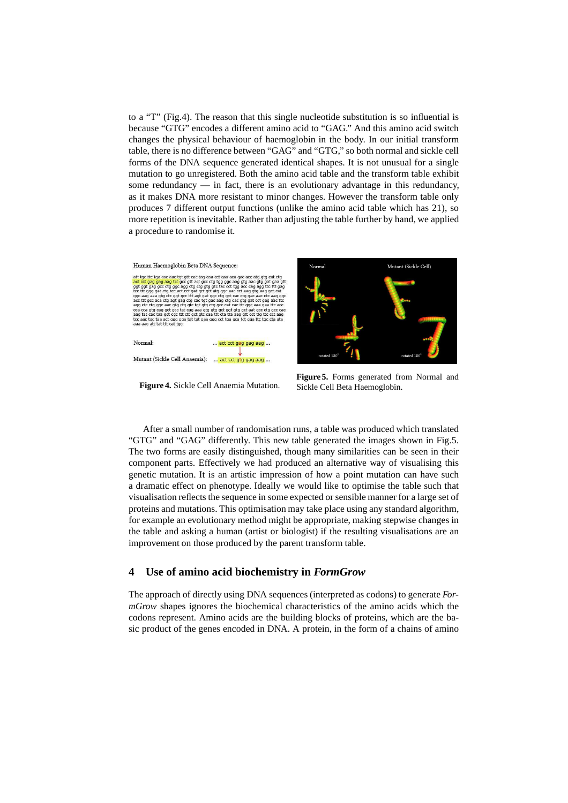to a "T" (Fig.4). The reason that this single nucleotide substitution is so influential is because "GTG" encodes a different amino acid to "GAG." And this amino acid switch changes the physical behaviour of haemoglobin in the body. In our initial transform table, there is no difference between "GAG" and "GTG," so both normal and sickle cell forms of the DNA sequence generated identical shapes. It is not unusual for a single mutation to go unregistered. Both the amino acid table and the transform table exhibit some redundancy — in fact, there is an evolutionary advantage in this redundancy, as it makes DNA more resistant to minor changes. However the transform table only produces 7 different output functions (unlike the amino acid table which has 21), so more repetition is inevitable. Rather than adjusting the table further by hand, we applied a procedure to randomise it.



**Figure 4.** Sickle Cell Anaemia Mutation.

**Figure 5.** Forms generated from Normal and Sickle Cell Beta Haemoglobin.

After a small number of randomisation runs, a table was produced which translated "GTG" and "GAG" differently. This new table generated the images shown in Fig.5. The two forms are easily distinguished, though many similarities can be seen in their component parts. Effectively we had produced an alternative way of visualising this genetic mutation. It is an artistic impression of how a point mutation can have such a dramatic effect on phenotype. Ideally we would like to optimise the table such that visualisation reflects the sequence in some expected or sensible manner for a large set of proteins and mutations. This optimisation may take place using any standard algorithm, for example an evolutionary method might be appropriate, making stepwise changes in the table and asking a human (artist or biologist) if the resulting visualisations are an improvement on those produced by the parent transform table.

### **4 Use of amino acid biochemistry in** *FormGrow*

The approach of directly using DNA sequences (interpreted as codons) to generate *FormGrow* shapes ignores the biochemical characteristics of the amino acids which the codons represent. Amino acids are the building blocks of proteins, which are the basic product of the genes encoded in DNA. A protein, in the form of a chains of amino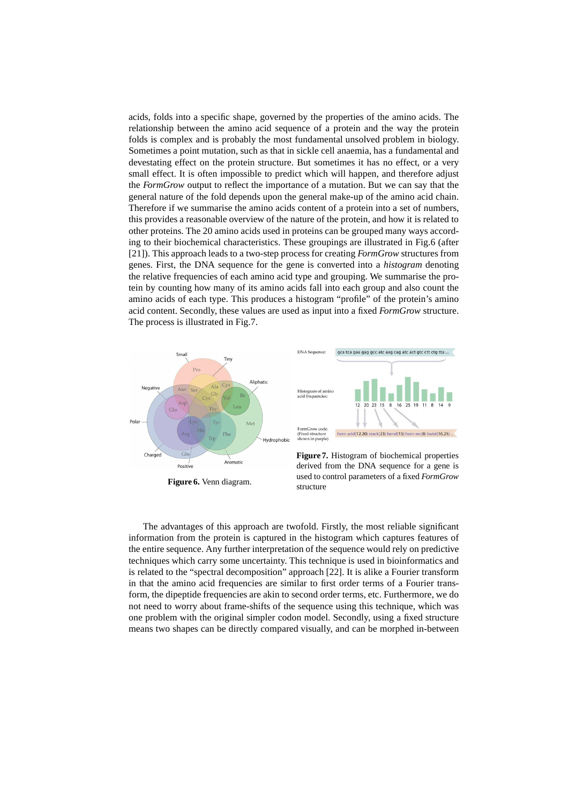acids, folds into a specific shape, governed by the properties of the amino acids. The relationship between the amino acid sequence of a protein and the way the protein folds is complex and is probably the most fundamental unsolved problem in biology. Sometimes a point mutation, such as that in sickle cell anaemia, has a fundamental and devestating effect on the protein structure. But sometimes it has no effect, or a very small effect. It is often impossible to predict which will happen, and therefore adjust the *FormGrow* output to reflect the importance of a mutation. But we can say that the general nature of the fold depends upon the general make-up of the amino acid chain. Therefore if we summarise the amino acids content of a protein into a set of numbers, this provides a reasonable overview of the nature of the protein, and how it is related to other proteins. The 20 amino acids used in proteins can be grouped many ways according to their biochemical characteristics. These groupings are illustrated in Fig.6 (after [21]). This approach leads to a two-step process for creating *FormGrow* structures from genes. First, the DNA sequence for the gene is converted into a *histogram* denoting the relative frequencies of each amino acid type and grouping. We summarise the protein by counting how many of its amino acids fall into each group and also count the amino acids of each type. This produces a histogram "profile" of the protein's amino acid content. Secondly, these values are used as input into a fixed *FormGrow* structure. The process is illustrated in Fig.7.



The advantages of this approach are twofold. Firstly, the most reliable significant information from the protein is captured in the histogram which captures features of the entire sequence. Any further interpretation of the sequence would rely on predictive techniques which carry some uncertainty. This technique is used in bioinformatics and is related to the "spectral decomposition" approach [22]. It is alike a Fourier transform in that the amino acid frequencies are similar to first order terms of a Fourier transform, the dipeptide frequencies are akin to second order terms, etc. Furthermore, we do not need to worry about frame-shifts of the sequence using this technique, which was one problem with the original simpler codon model. Secondly, using a fixed structure means two shapes can be directly compared visually, and can be morphed in-between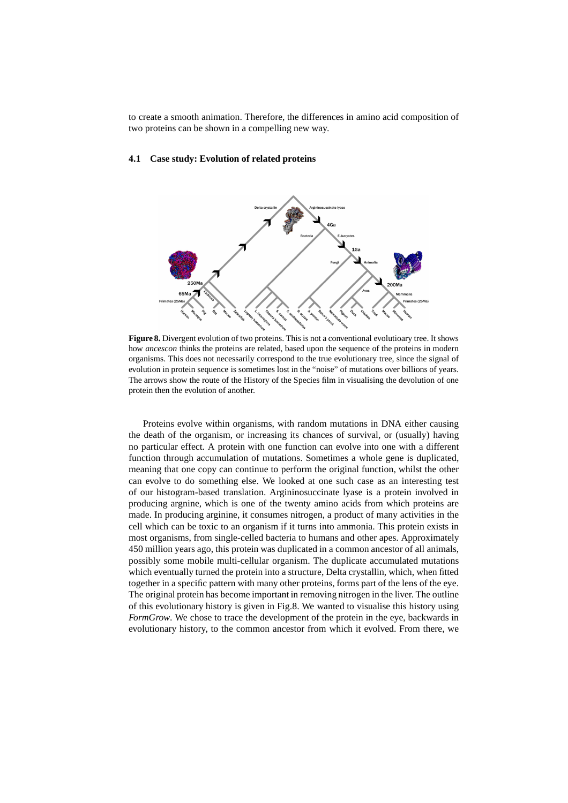to create a smooth animation. Therefore, the differences in amino acid composition of two proteins can be shown in a compelling new way.

#### **4.1 Case study: Evolution of related proteins**



**Figure 8.** Divergent evolution of two proteins. This is not a conventional evolutioary tree. It shows how *ancescon* thinks the proteins are related, based upon the sequence of the proteins in modern organisms. This does not necessarily correspond to the true evolutionary tree, since the signal of evolution in protein sequence is sometimes lost in the "noise" of mutations over billions of years. The arrows show the route of the History of the Species film in visualising the devolution of one protein then the evolution of another.

Proteins evolve within organisms, with random mutations in DNA either causing the death of the organism, or increasing its chances of survival, or (usually) having no particular effect. A protein with one function can evolve into one with a different function through accumulation of mutations. Sometimes a whole gene is duplicated, meaning that one copy can continue to perform the original function, whilst the other can evolve to do something else. We looked at one such case as an interesting test of our histogram-based translation. Argininosuccinate lyase is a protein involved in producing argnine, which is one of the twenty amino acids from which proteins are made. In producing arginine, it consumes nitrogen, a product of many activities in the cell which can be toxic to an organism if it turns into ammonia. This protein exists in most organisms, from single-celled bacteria to humans and other apes. Approximately 450 million years ago, this protein was duplicated in a common ancestor of all animals, possibly some mobile multi-cellular organism. The duplicate accumulated mutations which eventually turned the protein into a structure, Delta crystallin, which, when fitted together in a specific pattern with many other proteins, forms part of the lens of the eye. The original protein has become important in removing nitrogen in the liver. The outline of this evolutionary history is given in Fig.8. We wanted to visualise this history using *FormGrow*. We chose to trace the development of the protein in the eye, backwards in evolutionary history, to the common ancestor from which it evolved. From there, we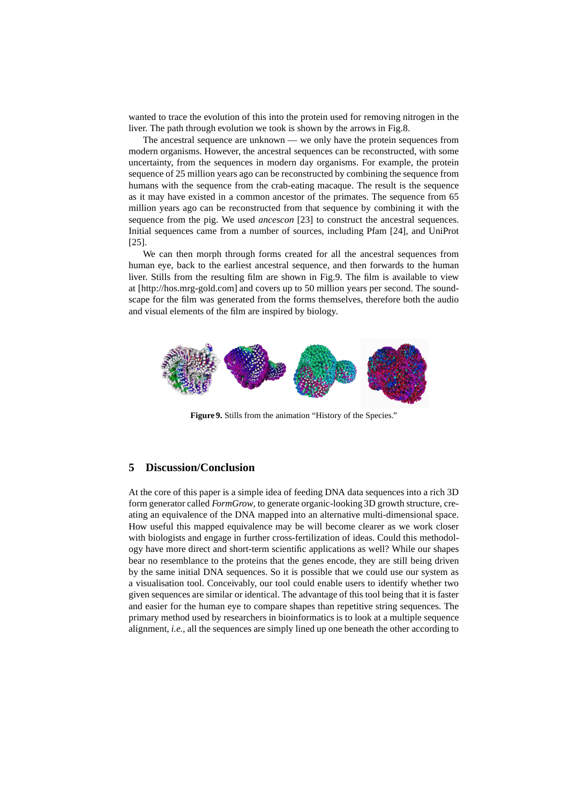wanted to trace the evolution of this into the protein used for removing nitrogen in the liver. The path through evolution we took is shown by the arrows in Fig.8.

The ancestral sequence are unknown — we only have the protein sequences from modern organisms. However, the ancestral sequences can be reconstructed, with some uncertainty, from the sequences in modern day organisms. For example, the protein sequence of 25 million years ago can be reconstructed by combining the sequence from humans with the sequence from the crab-eating macaque. The result is the sequence as it may have existed in a common ancestor of the primates. The sequence from 65 million years ago can be reconstructed from that sequence by combining it with the sequence from the pig. We used *ancescon* [23] to construct the ancestral sequences. Initial sequences came from a number of sources, including Pfam [24], and UniProt [25].

We can then morph through forms created for all the ancestral sequences from human eye, back to the earliest ancestral sequence, and then forwards to the human liver. Stills from the resulting film are shown in Fig.9. The film is available to view at [http://hos.mrg-gold.com] and covers up to 50 million years per second. The soundscape for the film was generated from the forms themselves, therefore both the audio and visual elements of the film are inspired by biology.



**Figure 9.** Stills from the animation "History of the Species."

# **5 Discussion/Conclusion**

At the core of this paper is a simple idea of feeding DNA data sequences into a rich 3D form generator called *FormGrow*, to generate organic-looking 3D growth structure, creating an equivalence of the DNA mapped into an alternative multi-dimensional space. How useful this mapped equivalence may be will become clearer as we work closer with biologists and engage in further cross-fertilization of ideas. Could this methodology have more direct and short-term scientific applications as well? While our shapes bear no resemblance to the proteins that the genes encode, they are still being driven by the same initial DNA sequences. So it is possible that we could use our system as a visualisation tool. Conceivably, our tool could enable users to identify whether two given sequences are similar or identical. The advantage of this tool being that it is faster and easier for the human eye to compare shapes than repetitive string sequences. The primary method used by researchers in bioinformatics is to look at a multiple sequence alignment, *i.e.*, all the sequences are simply lined up one beneath the other according to